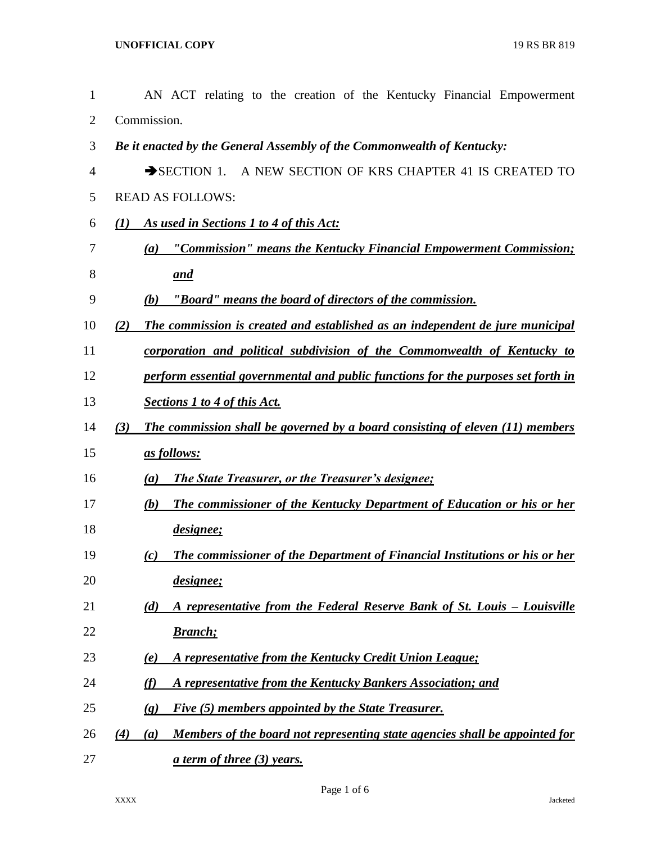| 1              | AN ACT relating to the creation of the Kentucky Financial Empowerment                     |
|----------------|-------------------------------------------------------------------------------------------|
| $\overline{2}$ | Commission.                                                                               |
| 3              | Be it enacted by the General Assembly of the Commonwealth of Kentucky:                    |
| 4              | A NEW SECTION OF KRS CHAPTER 41 IS CREATED TO<br>$\rightarrow$ SECTION 1.                 |
| 5              | <b>READ AS FOLLOWS:</b>                                                                   |
| 6              | As used in Sections 1 to 4 of this Act:<br>(1)                                            |
| 7              | "Commission" means the Kentucky Financial Empowerment Commission;<br>(a)                  |
| 8              | and                                                                                       |
| 9              | "Board" means the board of directors of the commission.<br>(b)                            |
| 10             | The commission is created and established as an independent de jure municipal<br>(2)      |
| 11             | corporation and political subdivision of the Commonwealth of Kentucky to                  |
| 12             | perform essential governmental and public functions for the purposes set forth in         |
| 13             | <b>Sections 1 to 4 of this Act.</b>                                                       |
| 14             | (3)<br>The commission shall be governed by a board consisting of eleven (11) members      |
| 15             | as follows:                                                                               |
| 16             | <b>The State Treasurer, or the Treasurer's designee;</b><br>(a)                           |
| 17             | <b>The commissioner of the Kentucky Department of Education or his or her</b><br>(b)      |
| 18             | <i>designee</i> ;                                                                         |
| 19             | <b>The commissioner of the Department of Financial Institutions or his or her</b><br>(c)  |
| 20             | designee;                                                                                 |
| 21             | A representative from the Federal Reserve Bank of St. Louis - Louisville<br>(d)           |
| 22             | <b>Branch</b> ;                                                                           |
| 23             | A representative from the Kentucky Credit Union League;<br>(e)                            |
| 24             | A representative from the Kentucky Bankers Association; and<br>(f)                        |
| 25             | Five (5) members appointed by the State Treasurer.<br>$\left( \mathbf{g} \right)$         |
| 26             | Members of the board not representing state agencies shall be appointed for<br>(4)<br>(a) |
| 27             | <u>a term of three (3) years.</u>                                                         |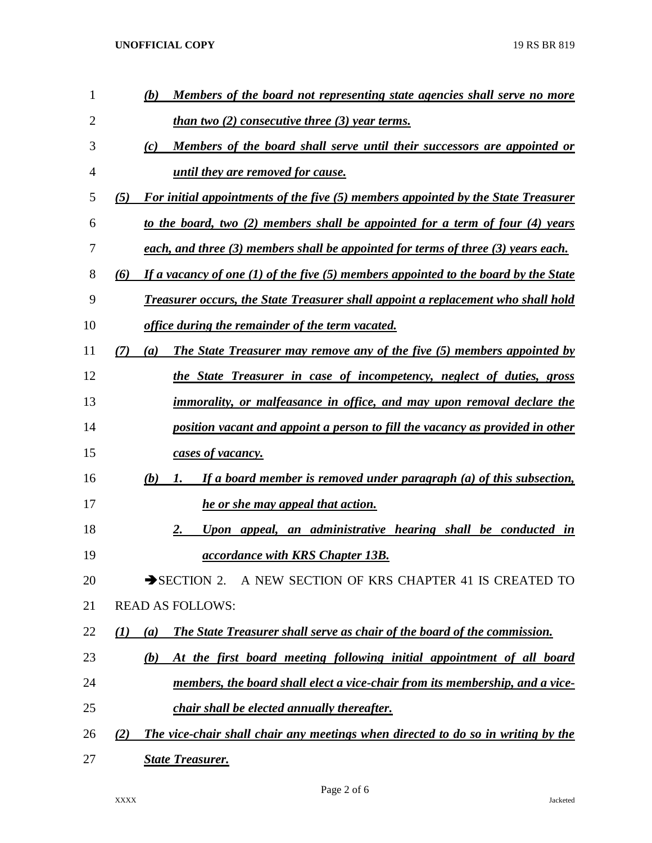**UNOFFICIAL COPY** 19 RS BR 819

| 1  | (b)<br>Members of the board not representing state agencies shall serve no more                |
|----|------------------------------------------------------------------------------------------------|
| 2  | <u>than two <math>(2)</math> consecutive three <math>(3)</math> year terms.</u>                |
| 3  | (c)<br>Members of the board shall serve until their successors are appointed or                |
| 4  | until they are removed for cause.                                                              |
| 5  | For initial appointments of the five (5) members appointed by the State Treasurer<br>(5)       |
| 6  | to the board, two (2) members shall be appointed for a term of four (4) years                  |
| 7  | each, and three (3) members shall be appointed for terms of three (3) years each.              |
| 8  | If a vacancy of one $(1)$ of the five $(5)$ members appointed to the board by the State<br>(6) |
| 9  | <b>Treasurer occurs, the State Treasurer shall appoint a replacement who shall hold</b>        |
| 10 | office during the remainder of the term vacated.                                               |
| 11 | (7)<br><b>The State Treasurer may remove any of the five (5) members appointed by</b><br>(a)   |
| 12 | the State Treasurer in case of incompetency, neglect of duties, gross                          |
| 13 | <i>immorality, or malfeasance in office, and may upon removal declare the</i>                  |
| 14 | position vacant and appoint a person to fill the vacancy as provided in other                  |
| 15 | cases of vacancy.                                                                              |
| 16 | If a board member is removed under paragraph (a) of this subsection,<br>(b)<br>1.              |
| 17 | he or she may appeal that action.                                                              |
| 18 | Upon appeal, an administrative hearing shall be conducted in<br>2.                             |
| 19 | <i><u><b>accordance with KRS Chapter 13B.</b></u></i>                                          |
| 20 | SECTION 2. A NEW SECTION OF KRS CHAPTER 41 IS CREATED TO                                       |
| 21 | <b>READ AS FOLLOWS:</b>                                                                        |
| 22 | <b>The State Treasurer shall serve as chair of the board of the commission.</b><br>(I)<br>(a)  |
| 23 | At the first board meeting following initial appointment of all board<br>(b)                   |
| 24 | members, the board shall elect a vice-chair from its membership, and a vice-                   |
| 25 | <i>chair shall be elected annually thereafter.</i>                                             |
| 26 | The vice-chair shall chair any meetings when directed to do so in writing by the<br>(2)        |
| 27 | <b>State Treasurer.</b>                                                                        |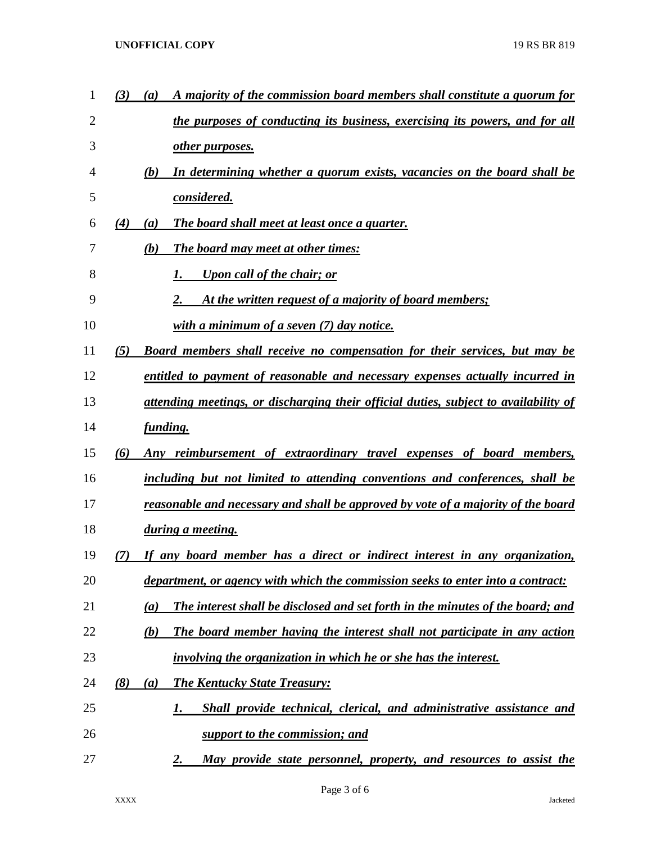| 1              | A majority of the commission board members shall constitute a quorum for<br>(3)<br>(a)   |
|----------------|------------------------------------------------------------------------------------------|
| $\overline{2}$ | the purposes of conducting its business, exercising its powers, and for all              |
| 3              | <u>other purposes.</u>                                                                   |
| 4              | In determining whether a quorum exists, vacancies on the board shall be<br>(b)           |
| 5              | considered.                                                                              |
| 6              | (4)<br>The board shall meet at least once a quarter.<br>(a)                              |
| 7              | (b)<br><b>The board may meet at other times:</b>                                         |
| 8              | <b>Upon call of the chair; or</b>                                                        |
| 9              | At the written request of a majority of board members;                                   |
| 10             | with a minimum of a seven $(7)$ day notice.                                              |
| 11             | (5)<br><b>Board members shall receive no compensation for their services, but may be</b> |
| 12             | entitled to payment of reasonable and necessary expenses actually incurred in            |
| 13             | attending meetings, or discharging their official duties, subject to availability of     |
| 14             | funding.                                                                                 |
| 15             | Any reimbursement of extraordinary travel expenses of board members,<br>(6)              |
| 16             | including but not limited to attending conventions and conferences, shall be             |
| 17             | reasonable and necessary and shall be approved by vote of a majority of the board        |
| 18             | during a meeting.                                                                        |
| 19             | If any board member has a direct or indirect interest in any organization,<br>7)         |
| 20             | department, or agency with which the commission seeks to enter into a contract:          |
| 21             | The interest shall be disclosed and set forth in the minutes of the board; and<br>(a)    |
| 22             | The board member having the interest shall not participate in any action<br>(b)          |
| 23             | involving the organization in which he or she has the interest.                          |
| 24             | (8)<br><b>The Kentucky State Treasury:</b><br>(a)                                        |
| 25             | Shall provide technical, clerical, and administrative assistance and<br>I.               |
| 26             | support to the commission; and                                                           |
| 27             | May provide state personnel, property, and resources to assist the<br><u>2.</u>          |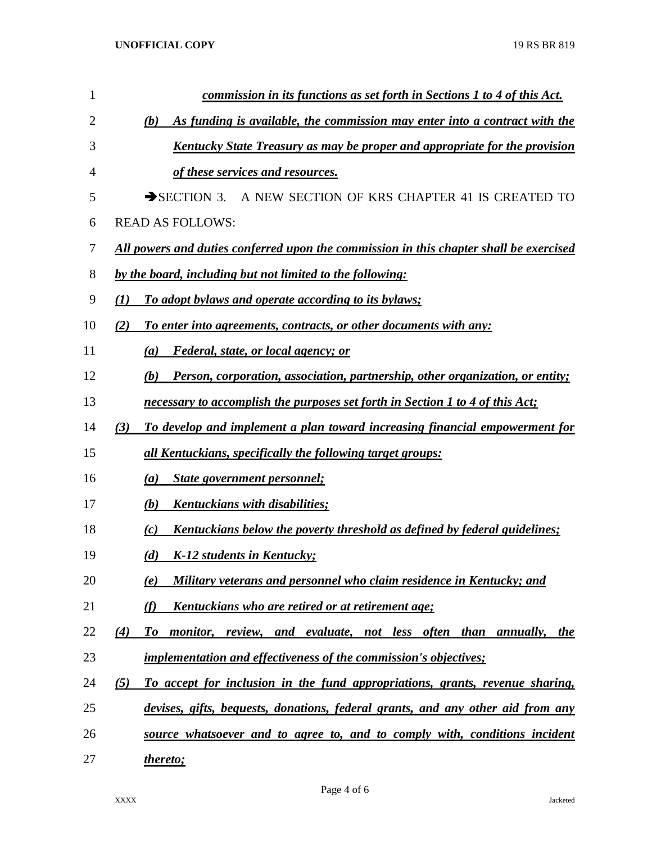| 1  | commission in its functions as set forth in Sections 1 to 4 of this Act.                |
|----|-----------------------------------------------------------------------------------------|
| 2  | As funding is available, the commission may enter into a contract with the<br>(b)       |
| 3  | Kentucky State Treasury as may be proper and appropriate for the provision              |
| 4  | of these services and resources.                                                        |
| 5  | $\rightarrow$ SECTION 3.<br>A NEW SECTION OF KRS CHAPTER 41 IS CREATED TO               |
| 6  | <b>READ AS FOLLOWS:</b>                                                                 |
| 7  | All powers and duties conferred upon the commission in this chapter shall be exercised  |
| 8  | by the board, including but not limited to the following:                               |
| 9  | To adopt bylaws and operate according to its bylaws;<br>$\mathbf{U}$                    |
| 10 | (2)<br>To enter into agreements, contracts, or other documents with any:                |
| 11 | <i>Federal, state, or local agency; or</i><br>(a)                                       |
| 12 | Person, corporation, association, partnership, other organization, or entity;<br>(b)    |
| 13 | necessary to accomplish the purposes set forth in Section 1 to 4 of this Act;           |
| 14 | To develop and implement a plan toward increasing financial empowerment for<br>(3)      |
| 15 | all Kentuckians, specifically the following target groups:                              |
| 16 | <b>State government personnel;</b><br>(a)                                               |
| 17 | Kentuckians with disabilities;<br>(b)                                                   |
| 18 | <u>Kentuckians below the poverty threshold as defined by federal guidelines;</u><br>(c) |
| 19 | K-12 students in Kentucky;<br>(d)                                                       |
| 20 | Military veterans and personnel who claim residence in Kentucky; and<br>(e)             |
| 21 | (f)<br><u>Kentuckians who are retired or at retirement age;</u>                         |
| 22 | monitor, review, and evaluate, not less often than annually, the<br>(4)<br>To           |
| 23 | <i>implementation and effectiveness of the commission's objectives;</i>                 |
| 24 | To accept for inclusion in the fund appropriations, grants, revenue sharing,<br>(5)     |
| 25 | devises, gifts, bequests, donations, federal grants, and any other aid from any         |
| 26 | source whatsoever and to agree to, and to comply with, conditions incident              |
| 27 | thereto;                                                                                |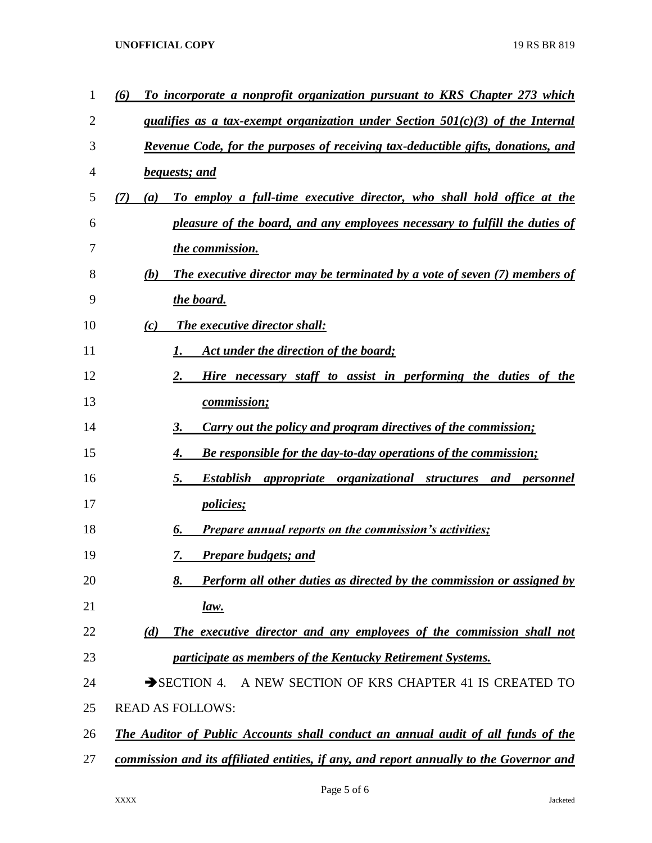## **UNOFFICIAL COPY** 19 RS BR 819

| (6) | To incorporate a nonprofit organization pursuant to KRS Chapter 273 which                  |
|-----|--------------------------------------------------------------------------------------------|
|     | qualifies as a tax-exempt organization under Section $501(c)(3)$ of the Internal           |
|     | <u>Revenue Code, for the purposes of receiving tax-deductible gifts, donations, and</u>    |
|     | <b>bequests; and</b>                                                                       |
| (7) | To employ a full-time executive director, who shall hold office at the<br>$\left(a\right)$ |
|     | pleasure of the board, and any employees necessary to fulfill the duties of                |
|     | the commission.                                                                            |
|     | <b>The executive director may be terminated by a vote of seven (7) members of</b><br>(b)   |
|     | the board.                                                                                 |
|     | The executive director shall:<br>(c)                                                       |
|     | Act under the direction of the board;                                                      |
|     | Hire necessary staff to assist in performing the duties of the<br>2.                       |
|     | <u>commission;</u>                                                                         |
|     | Carry out the policy and program directives of the commission;<br>3.                       |
|     | Be responsible for the day-to-day operations of the commission;<br>4.                      |
|     | <b>Establish</b><br><i>appropriate organizational structures and personnel</i><br>5.       |
|     | <i>policies;</i>                                                                           |
|     | <b>Prepare annual reports on the commission's activities;</b><br>6.                        |
|     | <b>Prepare budgets; and</b><br>7.                                                          |
|     | 8.<br>Perform all other duties as directed by the commission or assigned by                |
|     | <u>law.</u>                                                                                |
|     | The executive director and any employees of the commission shall not<br>(d)                |
|     | participate as members of the Kentucky Retirement Systems.                                 |
|     | A NEW SECTION OF KRS CHAPTER 41 IS CREATED TO<br>$\rightarrow$ SECTION 4.                  |
|     | <b>READ AS FOLLOWS:</b>                                                                    |
|     | <b>The Auditor of Public Accounts shall conduct an annual audit of all funds of the</b>    |
|     | commission and its affiliated entities, if any, and report annually to the Governor and    |
|     |                                                                                            |